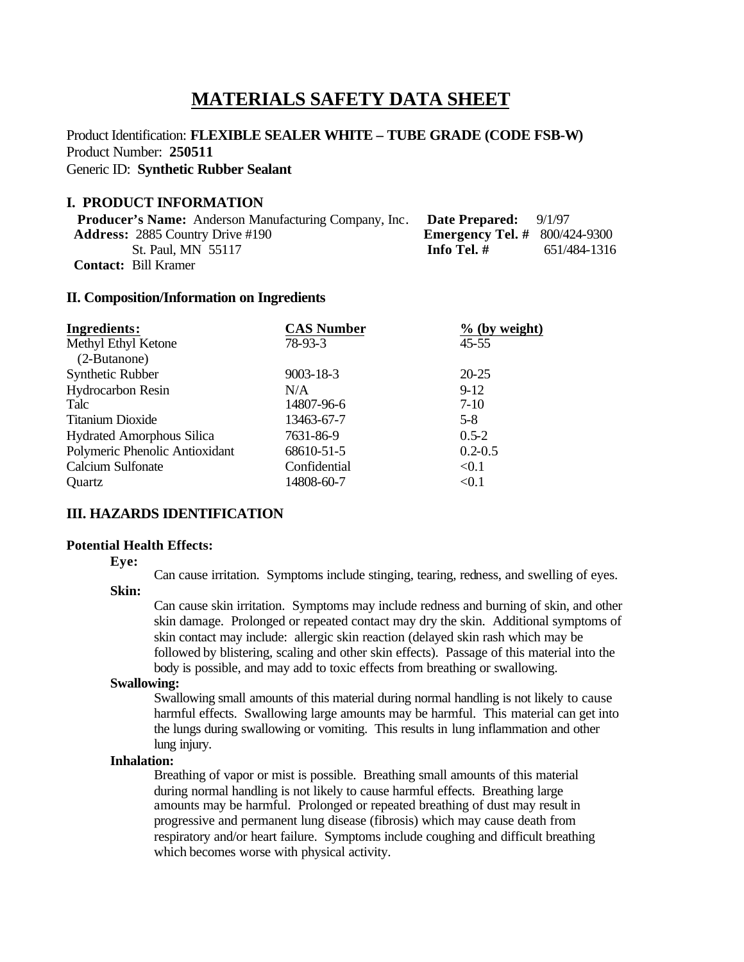# **MATERIALS SAFETY DATA SHEET**

## Product Identification: **FLEXIBLE SEALER WHITE – TUBE GRADE (CODE FSB-W)** Product Number: **250511** Generic ID: **Synthetic Rubber Sealant**

#### **I. PRODUCT INFORMATION**

| <b>Producer's Name:</b> Anderson Manufacturing Company, Inc. | <b>Date Prepared:</b> $9/1/97$         |              |
|--------------------------------------------------------------|----------------------------------------|--------------|
| <b>Address:</b> 2885 Country Drive #190                      | <b>Emergency Tel.</b> # $800/424-9300$ |              |
| St. Paul, MN 55117                                           | Info Tel. #                            | 651/484-1316 |
| <b>Contact:</b> Bill Kramer                                  |                                        |              |

#### **II. Composition/Information on Ingredients**

| <b>Ingredients:</b>              | <b>CAS Number</b> | $%$ (by weight) |
|----------------------------------|-------------------|-----------------|
| Methyl Ethyl Ketone              | 78-93-3           | $45 - 55$       |
| (2-Butanone)                     |                   |                 |
| Synthetic Rubber                 | $9003 - 18 - 3$   | $20 - 25$       |
| <b>Hydrocarbon Resin</b>         | N/A               | $9-12$          |
| Talc                             | 14807-96-6        | $7-10$          |
| <b>Titanium Dioxide</b>          | 13463-67-7        | $5-8$           |
| <b>Hydrated Amorphous Silica</b> | 7631-86-9         | $0.5 - 2$       |
| Polymeric Phenolic Antioxidant   | 68610-51-5        | $0.2 - 0.5$     |
| <b>Calcium Sulfonate</b>         | Confidential      | < 0.1           |
| Quartz                           | 14808-60-7        | < 0.1           |

## **III. HAZARDS IDENTIFICATION**

#### **Potential Health Effects:**

**Eye:**

Can cause irritation. Symptoms include stinging, tearing, redness, and swelling of eyes.

# **Skin:**

Can cause skin irritation. Symptoms may include redness and burning of skin, and other skin damage. Prolonged or repeated contact may dry the skin. Additional symptoms of skin contact may include: allergic skin reaction (delayed skin rash which may be followed by blistering, scaling and other skin effects). Passage of this material into the body is possible, and may add to toxic effects from breathing or swallowing.

#### **Swallowing:**

Swallowing small amounts of this material during normal handling is not likely to cause harmful effects. Swallowing large amounts may be harmful. This material can get into the lungs during swallowing or vomiting. This results in lung inflammation and other lung injury.

## **Inhalation:**

Breathing of vapor or mist is possible. Breathing small amounts of this material during normal handling is not likely to cause harmful effects. Breathing large amounts may be harmful. Prolonged or repeated breathing of dust may result in progressive and permanent lung disease (fibrosis) which may cause death from respiratory and/or heart failure. Symptoms include coughing and difficult breathing which becomes worse with physical activity.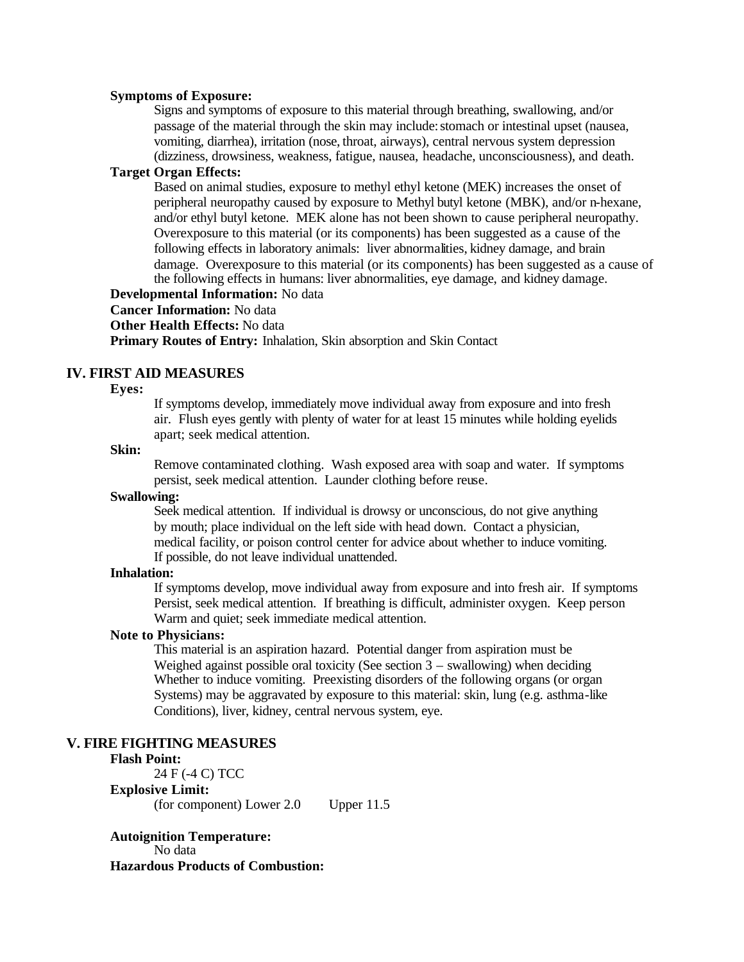#### **Symptoms of Exposure:**

Signs and symptoms of exposure to this material through breathing, swallowing, and/or passage of the material through the skin may include: stomach or intestinal upset (nausea, vomiting, diarrhea), irritation (nose, throat, airways), central nervous system depression (dizziness, drowsiness, weakness, fatigue, nausea, headache, unconsciousness), and death.

## **Target Organ Effects:**

Based on animal studies, exposure to methyl ethyl ketone (MEK) increases the onset of peripheral neuropathy caused by exposure to Methyl butyl ketone (MBK), and/or n-hexane, and/or ethyl butyl ketone. MEK alone has not been shown to cause peripheral neuropathy. Overexposure to this material (or its components) has been suggested as a cause of the following effects in laboratory animals: liver abnormalities, kidney damage, and brain damage. Overexposure to this material (or its components) has been suggested as a cause of the following effects in humans: liver abnormalities, eye damage, and kidney damage.

# **Developmental Information:** No data

**Cancer Information:** No data

### **Other Health Effects:** No data

**Primary Routes of Entry:** Inhalation, Skin absorption and Skin Contact

## **IV. FIRST AID MEASURES**

#### **Eyes:**

If symptoms develop, immediately move individual away from exposure and into fresh air. Flush eyes gently with plenty of water for at least 15 minutes while holding eyelids apart; seek medical attention.

### **Skin:**

Remove contaminated clothing. Wash exposed area with soap and water. If symptoms persist, seek medical attention. Launder clothing before reuse.

#### **Swallowing:**

Seek medical attention. If individual is drowsy or unconscious, do not give anything by mouth; place individual on the left side with head down. Contact a physician, medical facility, or poison control center for advice about whether to induce vomiting. If possible, do not leave individual unattended.

#### **Inhalation:**

If symptoms develop, move individual away from exposure and into fresh air. If symptoms Persist, seek medical attention. If breathing is difficult, administer oxygen. Keep person Warm and quiet; seek immediate medical attention.

## **Note to Physicians:**

This material is an aspiration hazard. Potential danger from aspiration must be Weighed against possible oral toxicity (See section  $3$  – swallowing) when deciding Whether to induce vomiting. Preexisting disorders of the following organs (or organ Systems) may be aggravated by exposure to this material: skin, lung (e.g. asthma-like Conditions), liver, kidney, central nervous system, eye.

#### **V. FIRE FIGHTING MEASURES**

## **Flash Point:**

24 F (-4 C) TCC

**Explosive Limit:** (for component) Lower 2.0 Upper 11.5

## **Autoignition Temperature:** No data

## **Hazardous Products of Combustion:**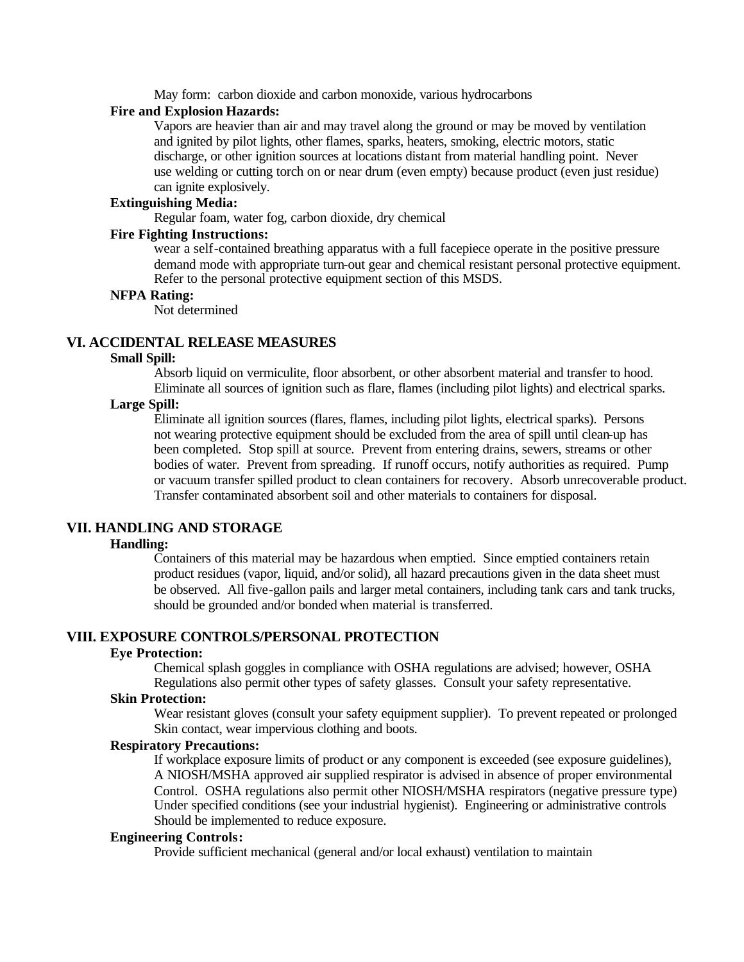May form: carbon dioxide and carbon monoxide, various hydrocarbons

#### **Fire and Explosion Hazards:**

Vapors are heavier than air and may travel along the ground or may be moved by ventilation and ignited by pilot lights, other flames, sparks, heaters, smoking, electric motors, static discharge, or other ignition sources at locations distant from material handling point. Never use welding or cutting torch on or near drum (even empty) because product (even just residue) can ignite explosively.

## **Extinguishing Media:**

Regular foam, water fog, carbon dioxide, dry chemical

## **Fire Fighting Instructions:**

wear a self-contained breathing apparatus with a full facepiece operate in the positive pressure demand mode with appropriate turn-out gear and chemical resistant personal protective equipment. Refer to the personal protective equipment section of this MSDS.

#### **NFPA Rating:**

Not determined

## **VI. ACCIDENTAL RELEASE MEASURES**

#### **Small Spill:**

Absorb liquid on vermiculite, floor absorbent, or other absorbent material and transfer to hood. Eliminate all sources of ignition such as flare, flames (including pilot lights) and electrical sparks.

## **Large Spill:**

Eliminate all ignition sources (flares, flames, including pilot lights, electrical sparks). Persons not wearing protective equipment should be excluded from the area of spill until clean-up has been completed. Stop spill at source. Prevent from entering drains, sewers, streams or other bodies of water. Prevent from spreading. If runoff occurs, notify authorities as required. Pump or vacuum transfer spilled product to clean containers for recovery. Absorb unrecoverable product. Transfer contaminated absorbent soil and other materials to containers for disposal.

## **VII. HANDLING AND STORAGE**

### **Handling:**

Containers of this material may be hazardous when emptied. Since emptied containers retain product residues (vapor, liquid, and/or solid), all hazard precautions given in the data sheet must be observed. All five-gallon pails and larger metal containers, including tank cars and tank trucks, should be grounded and/or bonded when material is transferred.

## **VIII. EXPOSURE CONTROLS/PERSONAL PROTECTION**

#### **Eye Protection:**

Chemical splash goggles in compliance with OSHA regulations are advised; however, OSHA Regulations also permit other types of safety glasses. Consult your safety representative.

## **Skin Protection:**

Wear resistant gloves (consult your safety equipment supplier). To prevent repeated or prolonged Skin contact, wear impervious clothing and boots.

#### **Respiratory Precautions:**

If workplace exposure limits of product or any component is exceeded (see exposure guidelines), A NIOSH/MSHA approved air supplied respirator is advised in absence of proper environmental Control. OSHA regulations also permit other NIOSH/MSHA respirators (negative pressure type) Under specified conditions (see your industrial hygienist). Engineering or administrative controls Should be implemented to reduce exposure.

#### **Engineering Controls:**

Provide sufficient mechanical (general and/or local exhaust) ventilation to maintain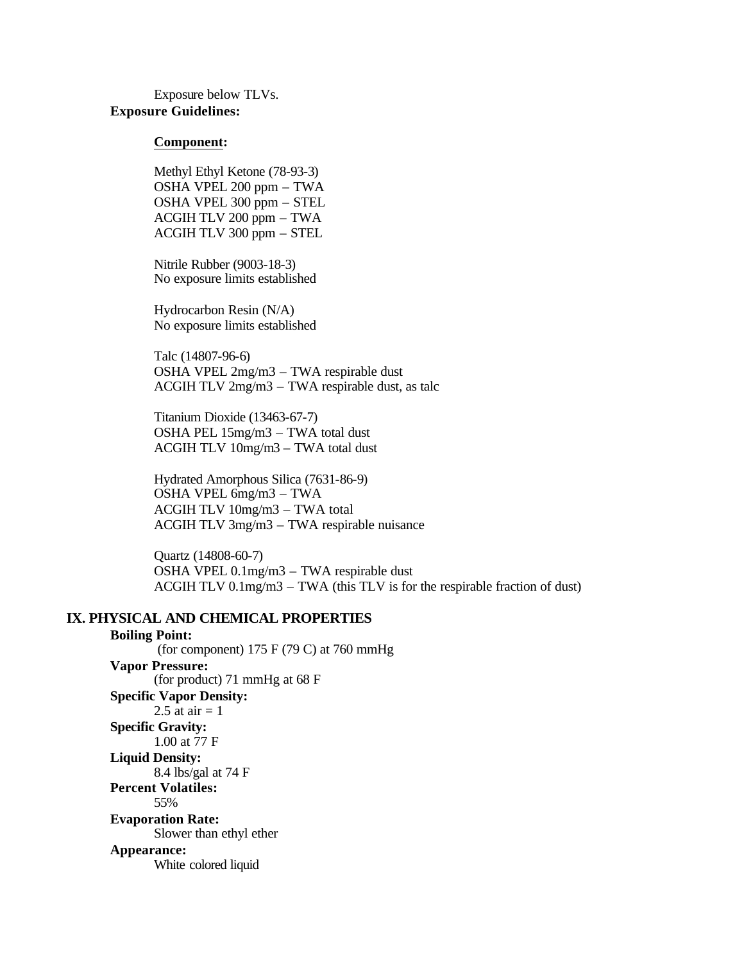Exposure below TLVs. **Exposure Guidelines:**

#### **Component:**

Methyl Ethyl Ketone (78-93-3) OSHA VPEL 200 ppm – TWA OSHA VPEL 300 ppm – STEL ACGIH TLV 200 ppm – TWA ACGIH TLV 300 ppm – STEL

Nitrile Rubber (9003-18-3) No exposure limits established

Hydrocarbon Resin (N/A) No exposure limits established

Talc (14807-96-6) OSHA VPEL 2mg/m3 – TWA respirable dust ACGIH TLV 2mg/m3 – TWA respirable dust, as talc

Titanium Dioxide (13463-67-7) OSHA PEL 15mg/m3 – TWA total dust ACGIH TLV 10mg/m3 – TWA total dust

Hydrated Amorphous Silica (7631-86-9) OSHA VPEL 6mg/m3 – TWA ACGIH TLV 10mg/m3 – TWA total ACGIH TLV 3mg/m3 – TWA respirable nuisance

Quartz (14808-60-7) OSHA VPEL 0.1mg/m3 – TWA respirable dust ACGIH TLV 0.1mg/m3 – TWA (this TLV is for the respirable fraction of dust)

## **IX. PHYSICAL AND CHEMICAL PROPERTIES**

#### **Boiling Point:**

(for component)  $175$  F (79 C) at 760 mmHg **Vapor Pressure:** (for product) 71 mmHg at 68 F **Specific Vapor Density:** 2.5 at air  $= 1$ **Specific Gravity:** 1.00 at 77 F **Liquid Density:** 8.4 lbs/gal at 74 F **Percent Volatiles:** 55% **Evaporation Rate:** Slower than ethyl ether **Appearance:** White colored liquid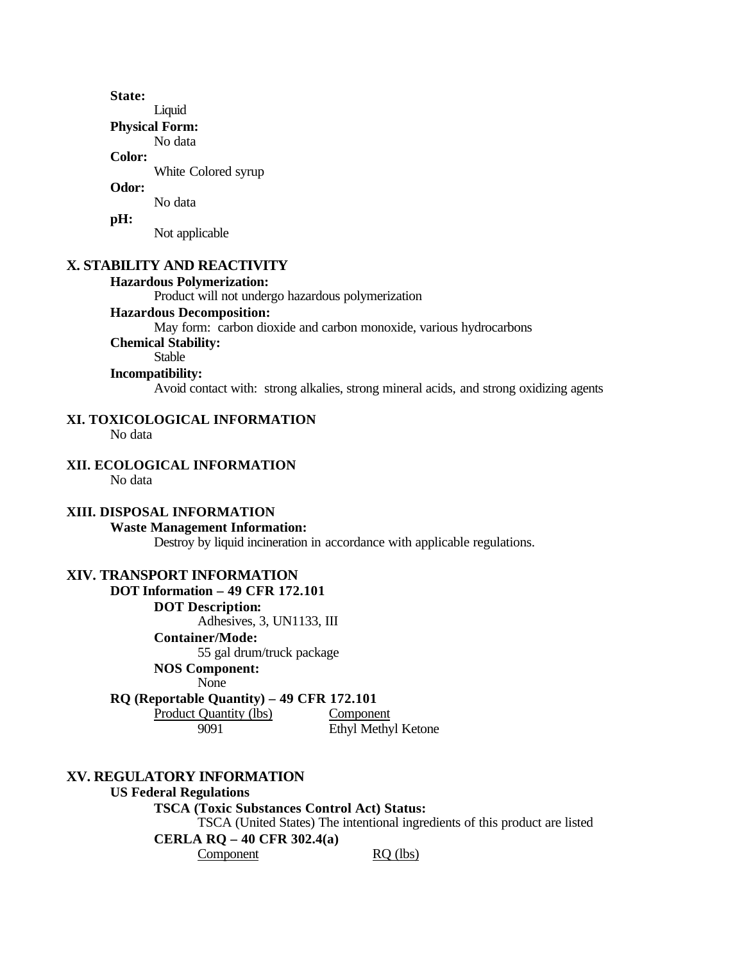**State:**

Liquid

**Physical Form:**

No data **Color:**

White Colored syrup

## **Odor:**

No data

#### **pH:**

Not applicable

## **X. STABILITY AND REACTIVITY**

# **Hazardous Polymerization:**

Product will not undergo hazardous polymerization

## **Hazardous Decomposition:**

May form: carbon dioxide and carbon monoxide, various hydrocarbons

## **Chemical Stability:**

Stable

# **Incompatibility:**

Avoid contact with: strong alkalies, strong mineral acids, and strong oxidizing agents

# **XI. TOXICOLOGICAL INFORMATION**

No data

# **XII. ECOLOGICAL INFORMATION**

No data

## **XIII. DISPOSAL INFORMATION**

## **Waste Management Information:**

Destroy by liquid incineration in accordance with applicable regulations.

## **XIV. TRANSPORT INFORMATION**

**DOT Information – 49 CFR 172.101 DOT Description:** Adhesives, 3, UN1133, III **Container/Mode:** 55 gal drum/truck package **NOS Component:**

None

## **RQ (Reportable Quantity) – 49 CFR 172.101**

Product Quantity (lbs) Component

9091 Ethyl Methyl Ketone

# **XV. REGULATORY INFORMATION**

**US Federal Regulations TSCA (Toxic Substances Control Act) Status:** TSCA (United States) The intentional ingredients of this product are listed **CERLA RQ – 40 CFR 302.4(a)** Component RQ (lbs)